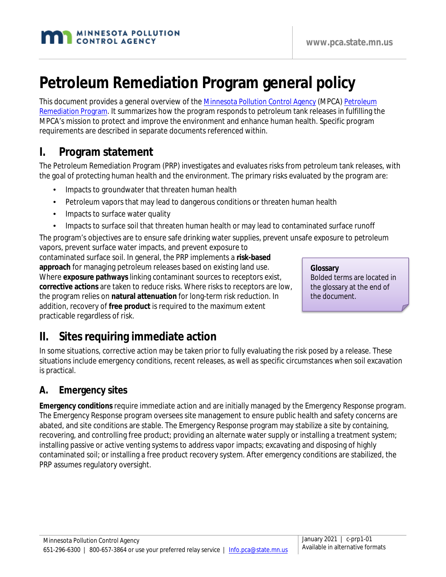#### **www.pca.state.mn.us**

# **Petroleum Remediation Program general policy**

This document provides a general overview of the [Minnesota Pollution Control Agency](https://www.pca.state.mn.us/) (MPCA) [Petroleum](https://www.pca.state.mn.us/waste/petroleum-remediation-program)  [Remediation Program.](https://www.pca.state.mn.us/waste/petroleum-remediation-program) It summarizes how the program responds to petroleum tank releases in fulfilling the MPCA's mission to protect and improve the environment and enhance human health. Specific program requirements are described in separate documents referenced within.

## **I. Program statement**

The Petroleum Remediation Program (PRP) investigates and evaluates risks from petroleum tank releases, with the goal of protecting human health and the environment. The primary risks evaluated by the program are:

- Impacts to groundwater that threaten human health
- Petroleum vapors that may lead to dangerous conditions or threaten human health
- Impacts to surface water quality
- Impacts to surface soil that threaten human health or may lead to contaminated surface runoff

The program's objectives are to ensure safe drinking water supplies, prevent unsafe exposure to petroleum vapors, prevent surface water impacts, and prevent exposure to

contaminated surface soil. In general, the PRP implements a **risk-based approach** for managing petroleum releases based on existing land use. Where **exposure pathways** linking contaminant sources to receptors exist, **corrective actions** are taken to reduce risks. Where risks to receptors are low, the program relies on **natural attenuation** for long-term risk reduction. In addition, recovery of **free product** is required to the maximum extent practicable regardless of risk.

**Glossary** Bolded terms are located in the glossary at the end of the document.

## **II. Sites requiring immediate action**

In some situations, corrective action may be taken prior to fully evaluating the risk posed by a release. These situations include emergency conditions, recent releases, as well as specific circumstances when soil excavation is practical.

## **A. Emergency sites**

**Emergency conditions** require immediate action and are initially managed by the Emergency Response program. The Emergency Response program oversees site management to ensure public health and safety concerns are abated, and site conditions are stable. The Emergency Response program may stabilize a site by containing, recovering, and controlling free product; providing an alternate water supply or installing a treatment system; installing passive or active venting systems to address vapor impacts; excavating and disposing of highly contaminated soil; or installing a free product recovery system. After emergency conditions are stabilized, the PRP assumes regulatory oversight.

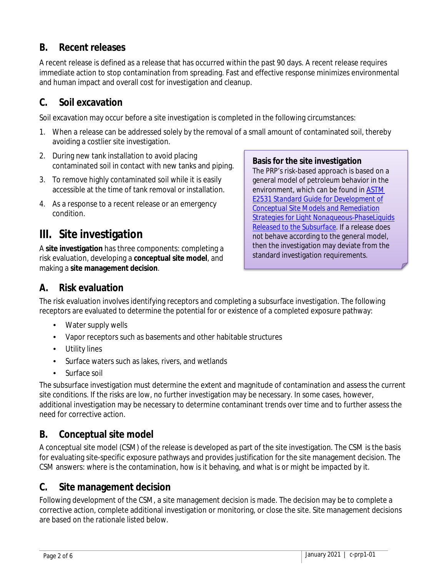## **B. Recent releases**

A recent release is defined as a release that has occurred within the past 90 days. A recent release requires immediate action to stop contamination from spreading. Fast and effective response minimizes environmental and human impact and overall cost for investigation and cleanup.

## **C. Soil excavation**

Soil excavation may occur before a site investigation is completed in the following circumstances:

- 1. When a release can be addressed solely by the removal of a small amount of contaminated soil, thereby avoiding a costlier site investigation.
- 2. During new tank installation to avoid placing contaminated soil in contact with new tanks and piping.
- 3. To remove highly contaminated soil while it is easily accessible at the time of tank removal or installation.
- 4. As a response to a recent release or an emergency condition.

## **III. Site investigation**

A **site investigation** has three components: completing a risk evaluation, developing a **conceptual site model**, and making a **site management decision**.

**Basis for the site investigation**

The PRP's risk-based approach is based on a general model of petroleum behavior in the environment, which can be found in [ASTM](http://www.astm.org/Standards/E2531.htm)  E2531 *[Standard Guide for Development of](http://www.astm.org/Standards/E2531.htm)  [Conceptual Site Models and Remediation](http://www.astm.org/Standards/E2531.htm)  [Strategies for Light Nonaqueous-PhaseLiquids](http://www.astm.org/Standards/E2531.htm)  [Released to the Subsurface](http://www.astm.org/Standards/E2531.htm)*. If a release does not behave according to the general model, then the investigation may deviate from the standard investigation requirements.

## **A. Risk evaluation**

The risk evaluation involves identifying receptors and completing a subsurface investigation. The following receptors are evaluated to determine the potential for or existence of a completed exposure pathway:

- Water supply wells
- Vapor receptors such as basements and other habitable structures
- Utility lines
- Surface waters such as lakes, rivers, and wetlands
- Surface soil

The subsurface investigation must determine the extent and magnitude of contamination and assess the current site conditions. If the risks are low, no further investigation may be necessary. In some cases, however, additional investigation may be necessary to determine contaminant trends over time and to further assess the need for corrective action.

## **B. Conceptual site model**

A conceptual site model (CSM) of the release is developed as part of the site investigation. The CSM is the basis for evaluating site-specific exposure pathways and provides justification for the site management decision. The CSM answers: where is the contamination, how is it behaving, and what is or might be impacted by it.

### **C. Site management decision**

Following development of the CSM, a site management decision is made. The decision may be to complete a corrective action, complete additional investigation or monitoring, or close the site. Site management decisions are based on the rationale listed below.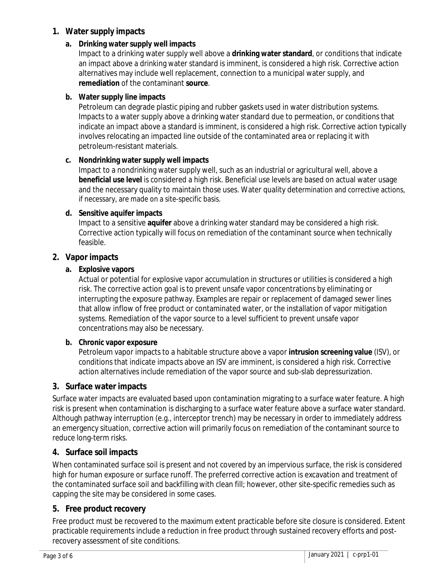#### **1. Water supply impacts**

#### **a. Drinking water supply well impacts**

Impact to a drinking water supply well above a **drinking water standard**, or conditions that indicate an impact above a drinking water standard is imminent, is considered a high risk. Corrective action alternatives may include well replacement, connection to a municipal water supply, and **remediation** of the contaminant **source**.

#### **b. Water supply line impacts**

Petroleum can degrade plastic piping and rubber gaskets used in water distribution systems. Impacts to a water supply above a drinking water standard due to permeation, or conditions that indicate an impact above a standard is imminent, is considered a high risk. Corrective action typically involves relocating an impacted line outside of the contaminated area or replacing it with petroleum-resistant materials.

#### **c. Nondrinking water supply well impacts**

Impact to a nondrinking water supply well, such as an industrial or agricultural well, above a **beneficial use level** is considered a high risk. Beneficial use levels are based on actual water usage and the necessary quality to maintain those uses. Water quality determination and corrective actions, if necessary, are made on a site-specific basis.

#### **d. Sensitive aquifer impacts**

Impact to a sensitive **aquifer** above a drinking water standard may be considered a high risk. Corrective action typically will focus on remediation of the contaminant source when technically feasible.

#### **2. Vapor impacts**

#### **a. Explosive vapors**

Actual or potential for explosive vapor accumulation in structures or utilities is considered a high risk. The corrective action goal is to prevent unsafe vapor concentrations by eliminating or interrupting the exposure pathway. Examples are repair or replacement of damaged sewer lines that allow inflow of free product or contaminated water, or the installation of vapor mitigation systems. Remediation of the vapor source to a level sufficient to prevent unsafe vapor concentrations may also be necessary.

#### **b. Chronic vapor exposure**

Petroleum vapor impacts to a habitable structure above a vapor **intrusion screening value** (ISV), or conditions that indicate impacts above an ISV are imminent, is considered a high risk. Corrective action alternatives include remediation of the vapor source and sub-slab depressurization.

#### **3. Surface water impacts**

Surface water impacts are evaluated based upon contamination migrating to a surface water feature. A high risk is present when contamination is discharging to a surface water feature above a surface water standard. Although pathway interruption (e.g., interceptor trench) may be necessary in order to immediately address an emergency situation, corrective action will primarily focus on remediation of the contaminant source to reduce long-term risks.

#### **4. Surface soil impacts**

When contaminated surface soil is present and not covered by an impervious surface, the risk is considered high for human exposure or surface runoff. The preferred corrective action is excavation and treatment of the contaminated surface soil and backfilling with clean fill; however, other site-specific remedies such as capping the site may be considered in some cases.

#### **5. Free product recovery**

Free product must be recovered to the maximum extent practicable before site closure is considered. Extent practicable requirements include a reduction in free product through sustained recovery efforts and postrecovery assessment of site conditions.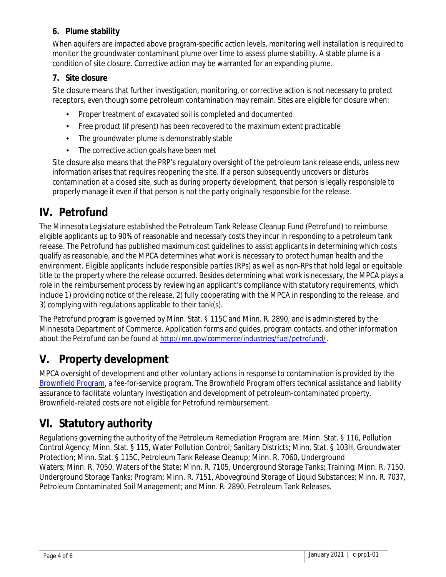### **6. Plume stability**

When aquifers are impacted above program-specific action levels, monitoring well installation is required to monitor the groundwater contaminant plume over time to assess plume stability. A stable plume is a condition of site closure. Corrective action may be warranted for an expanding plume.

### **7. Site closure**

Site closure means that further investigation, monitoring, or corrective action is not necessary to protect receptors, even though some petroleum contamination may remain. Sites are eligible for closure when:

- Proper treatment of excavated soil is completed and documented
- Free product (if present) has been recovered to the maximum extent practicable t.
- The groundwater plume is demonstrably stable
- The corrective action goals have been met

Site closure also means that the PRP's regulatory oversight of the petroleum tank release ends, unless new information arises that requires reopening the site. If a person subsequently uncovers or disturbs contamination at a closed site, such as during property development, that person is legally responsible to properly manage it even if that person is not the party originally responsible for the release.

## **IV. Petrofund**

The Minnesota Legislature established the Petroleum Tank Release Cleanup Fund (Petrofund) to reimburse eligible applicants up to 90% of reasonable and necessary costs they incur in responding to a petroleum tank release. The Petrofund has published maximum cost guidelines to assist applicants in determining which costs qualify as reasonable, and the MPCA determines what work is necessary to protect human health and the environment. Eligible applicants include responsible parties (RPs) as well as non-RPs that hold legal or equitable title to the property where the release occurred. Besides determining what work is necessary, the MPCA plays a role in the reimbursement process by reviewing an applicant's compliance with statutory requirements, which include 1) providing notice of the release, 2) fully cooperating with the MPCA in responding to the release, and 3) complying with regulations applicable to their tank(s).

The Petrofund program is governed by Minn. Stat. § 115C and Minn. R. 2890, and is administered by the Minnesota Department of Commerce. Application forms and guides, program contacts, and other information about the Petrofund can be found at [http://mn.gov/commerce/industries/fuel/petrofund/.](http://mn.gov/commerce/industries/fuel/petrofund/)

## **V. Property development**

MPCA oversight of development and other voluntary actions in response to contamination is provided by the [Brownfield Program,](https://www.pca.state.mn.us/waste/brownfields) a fee-for-service program. The Brownfield Program offers technical assistance and liability assurance to facilitate voluntary investigation and development of petroleum-contaminated property. Brownfield-related costs are not eligible for Petrofund reimbursement.

## **VI. Statutory authority**

Regulations governing the authority of the Petroleum Remediation Program are: Minn. Stat. § 116, Pollution Control Agency; Minn. Stat. § 115, Water Pollution Control; Sanitary Districts; Minn. Stat. § 103H, Groundwater Protection; Minn. Stat. § 115C, Petroleum Tank Release Cleanup; Minn. R. 7060, Underground Waters; Minn. R. 7050, Waters of the State; Minn. R. 7105, Underground Storage Tanks; Training; Minn. R. 7150, Underground Storage Tanks; Program; Minn. R. 7151, Aboveground Storage of Liquid Substances; Minn. R. 7037, Petroleum Contaminated Soil Management; and Minn. R. 2890, Petroleum Tank Releases.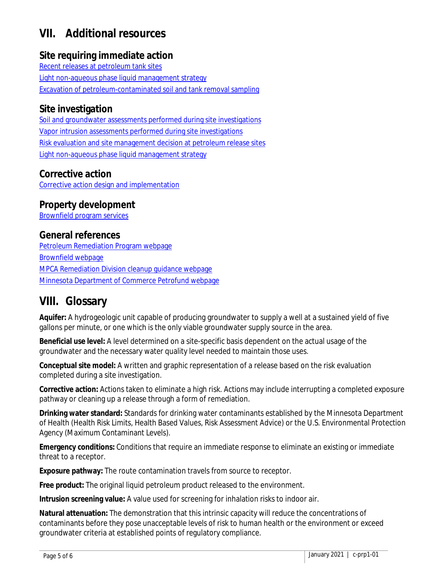## **VII. Additional resources**

### **Site requiring immediate action**

[Recent releases at petroleum tank sites](https://www.pca.state.mn.us/sites/default/files/c-prp2-04.pdf) [Light non-aqueous phase liquid management strategy](https://www.pca.state.mn.us/sites/default/files/c-prp2-02.pdf) [Excavation of petroleum-contaminated soil and tank removal sampling](https://www.pca.state.mn.us/sites/default/files/c-prp3-01.pdf)

### **Site investigation**

Soil and groundwater assessments [performed during site investigations](https://www.pca.state.mn.us/sites/default/files/c-prp4-01.pdf) [Vapor intrusion assessments performed during site investigations](https://www.pca.state.mn.us/sites/default/files/c-prp4-01a.pdf) [Risk evaluation and site management decision at petroleum release sites](https://www.pca.state.mn.us/sites/default/files/c-prp4-02.pdf) [Light non-aqueous phase liquid management strategy](https://www.pca.state.mn.us/sites/default/files/c-prp2-02.pdf)

### **Corrective action**

[Corrective action design and implementation](https://www.pca.state.mn.us/sites/default/files/c-prp7-01.pdf)

### **Property development**

[Brownfield program services](https://www.pca.state.mn.us/sites/default/files/c-brwnfld4-01.pdf)

### **General references**

[Petroleum Remediation Program webpage](https://www.pca.state.mn.us/waste/petroleum-remediation-program) [Brownfield webpage](https://www.pca.state.mn.us/waste/brownfields) [MPCA Remediation Division cleanup guidance webpage](https://www.pca.state.mn.us/waste/cleanup-guidance) [Minnesota Department of Commerce Petrofund webpage](https://mn.gov/commerce/industries/fuel/petrofund/)

## **VIII. Glossary**

**Aquifer:** A hydrogeologic unit capable of producing groundwater to supply a well at a sustained yield of five gallons per minute, or one which is the only viable groundwater supply source in the area.

**Beneficial use level:** A level determined on a site-specific basis dependent on the actual usage of the groundwater and the necessary water quality level needed to maintain those uses.

**Conceptual site model:** A written and graphic representation of a release based on the risk evaluation completed during a site investigation.

**Corrective action:** Actions taken to eliminate a high risk. Actions may include interrupting a completed exposure pathway or cleaning up a release through a form of remediation.

**Drinking water standard:** Standards for drinking water contaminants established by the Minnesota Department of Health (Health Risk Limits, Health Based Values, Risk Assessment Advice) or the U.S. Environmental Protection Agency (Maximum Contaminant Levels).

**Emergency conditions:** Conditions that require an immediate response to eliminate an existing or immediate threat to a receptor.

**Exposure pathway:** The route contamination travels from source to receptor.

**Free product:** The original liquid petroleum product released to the environment.

**Intrusion screening value:** A value used for screening for inhalation risks to indoor air.

**Natural attenuation:** The demonstration that this intrinsic capacity will reduce the concentrations of contaminants before they pose unacceptable levels of risk to human health or the environment or exceed groundwater criteria at established points of regulatory compliance.